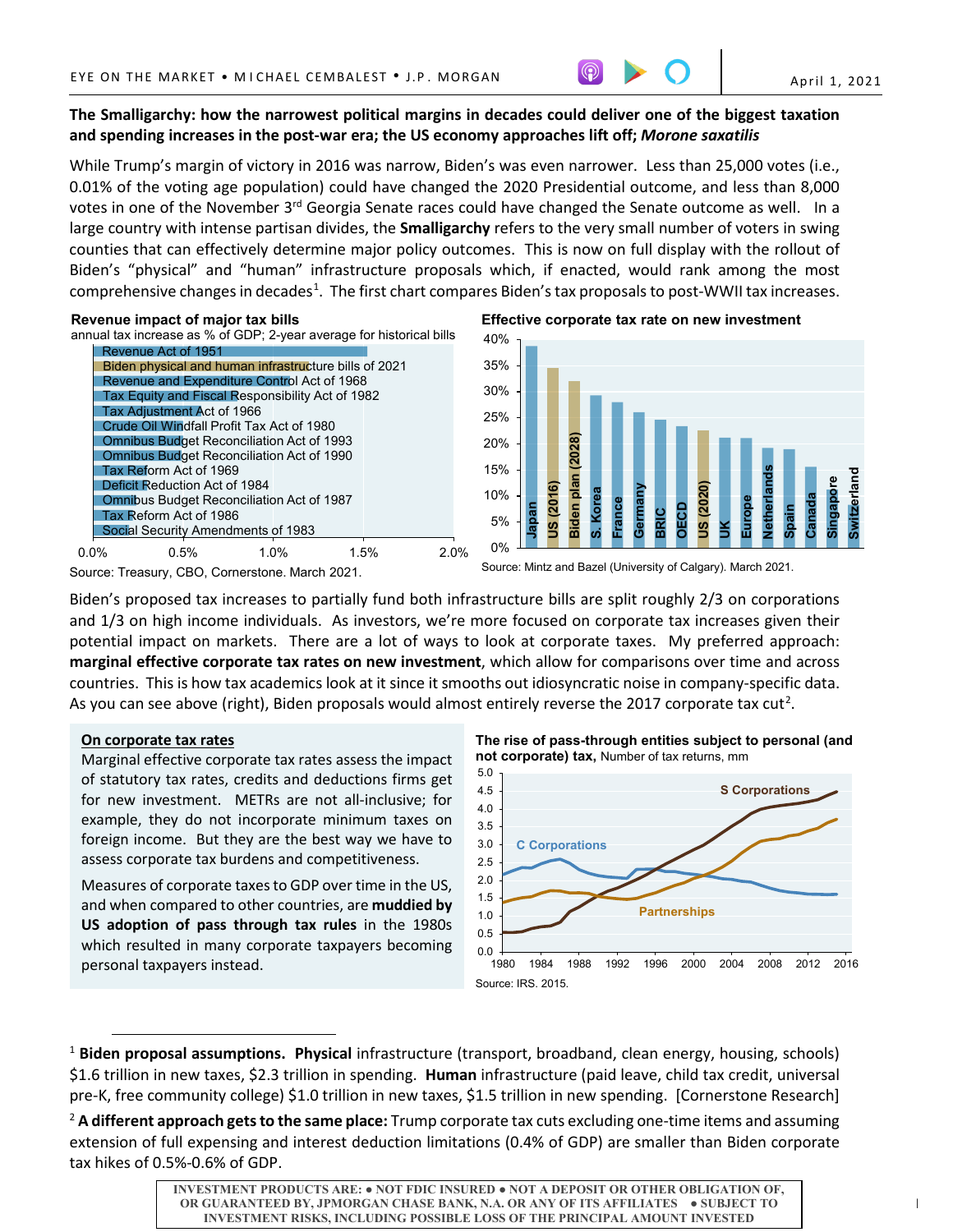# **The Smalligarchy: how the narrowest political margins in decades could deliver one of the biggest taxation and spending increases in the post-war era; the US economy approaches lift off;** *Morone saxatilis*

While Trump's margin of victory in 2016 was narrow, Biden's was even narrower. Less than 25,000 votes (i.e., 0.01% of the voting age population) could have changed the 2020 Presidential outcome, and less than 8,000 votes in one of the November 3<sup>rd</sup> Georgia Senate races could have changed the Senate outcome as well. In a large country with intense partisan divides, the **Smalligarchy** refers to the very small number of voters in swing counties that can effectively determine major policy outcomes. This is now on full display with the rollout of Biden's "physical" and "human" infrastructure proposals which, if enacted, would rank among the most comprehensive changes in decades<sup>1</sup>. The first chart compares Biden's tax proposals to post-WWII tax increases.

# **Revenue impact of major tax bills**

annual tax increase as % of GDP; 2-year average for historical bills



**Effective corporate tax rate on new investment**



Source: Treasury, CBO, Cornerstone. March 2021.

Source: Mintz and Bazel (University of Calgary). March 2021.

Biden's proposed tax increases to partially fund both infrastructure bills are split roughly 2/3 on corporations and 1/3 on high income individuals. As investors, we're more focused on corporate tax increases given their potential impact on markets. There are a lot of ways to look at corporate taxes. My preferred approach: **marginal effective corporate tax rates on new investment**, which allow for comparisons over time and across countries. This is how tax academics look at it since it smooths out idiosyncratic noise in company-specific data. As you can see above (right), Biden proposals would almost entirely reverse the [2](#page-0-1)017 corporate tax cut<sup>2</sup>.

# **On corporate tax rates**

Marginal effective corporate tax rates assess the impact of statutory tax rates, credits and deductions firms get for new investment. METRs are not all-inclusive; for example, they do not incorporate minimum taxes on foreign income. But they are the best way we have to assess corporate tax burdens and competitiveness.

Measures of corporate taxes to GDP over time in the US, and when compared to other countries, are **muddied by US adoption of pass through tax rules** in the 1980s which resulted in many corporate taxpayers becoming personal taxpayers instead.

**The rise of pass-through entities subject to personal (and not corporate) tax,** Number of tax returns, mm



<span id="page-0-0"></span><sup>1</sup> **Biden proposal assumptions. Physical** infrastructure (transport, broadband, clean energy, housing, schools) \$1.6 trillion in new taxes, \$2.3 trillion in spending. **Human** infrastructure (paid leave, child tax credit, universal pre-K, free community college) \$1.0 trillion in new taxes, \$1.5 trillion in new spending. [Cornerstone Research]

<span id="page-0-1"></span><sup>2</sup> **A different approach gets to the same place:** Trump corporate tax cuts excluding one-time items and assuming extension of full expensing and interest deduction limitations (0.4% of GDP) are smaller than Biden corporate tax hikes of 0.5%-0.6% of GDP.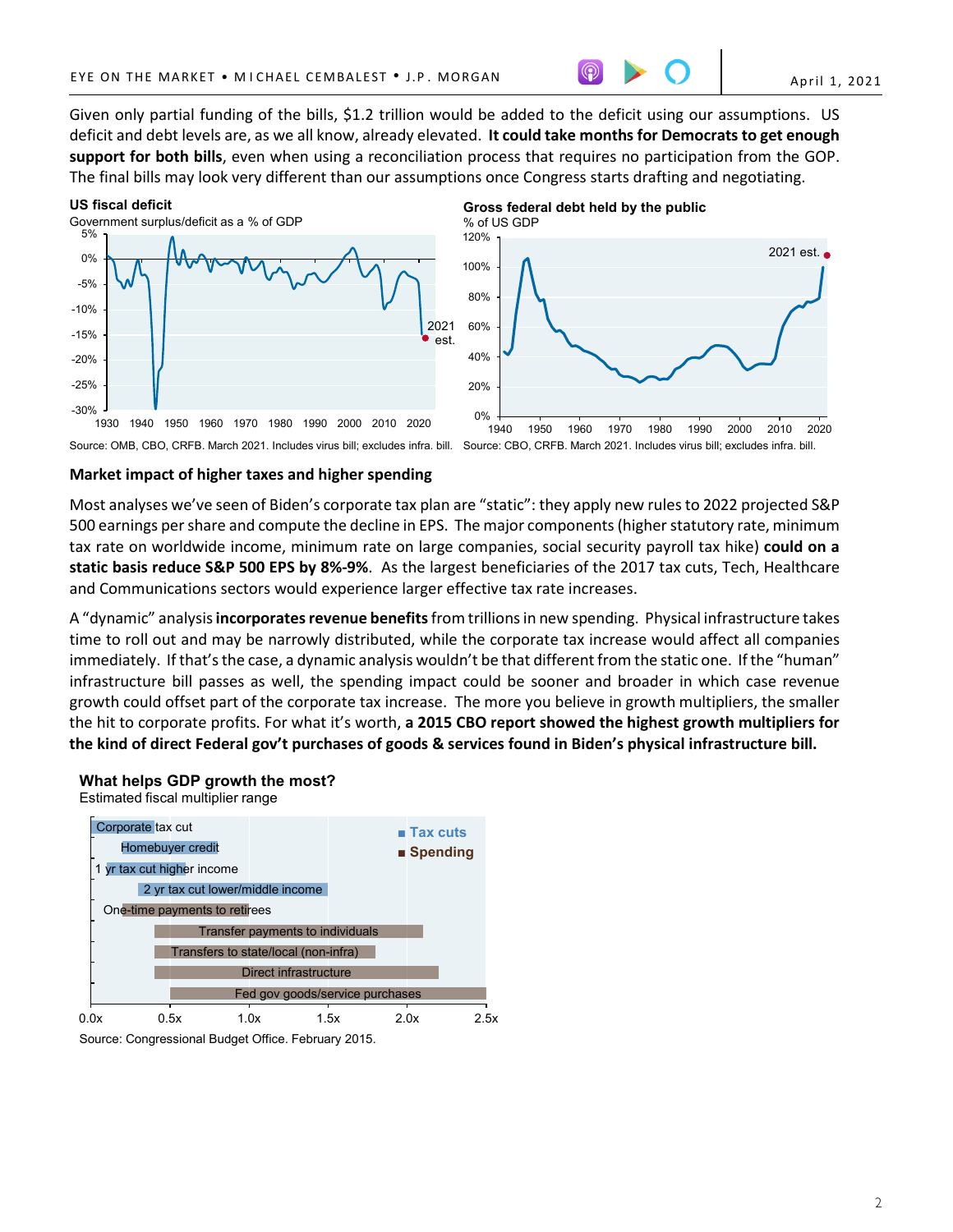2021 est.

Given only partial funding of the bills, \$1.2 trillion would be added to the deficit using our assumptions. US deficit and debt levels are, as we all know, already elevated. **It could take months for Democrats to get enough support for both bills**, even when using a reconciliation process that requires no participation from the GOP. The final bills may look very different than our assumptions once Congress starts drafting and negotiating.

#### -30% -25% -20% -15% -10% -5% 0% 5% 1930 1940 1950 1960 1970 1980 1990 2000 2010 2020 **US fiscal deficit** Government surplus/deficit as a % of GDP 2021 est. 0% 20% 40% 60% 80% 100% 120% **Gross federal debt held by the public** % of US GDP

### Source: OMB, CBO, CRFB. March 2021. Includes virus bill; excludes infra. bill. Source: CBO, CRFB. March 2021. Includes virus bill; excludes infra. bill.

1940 1950 1960 1970 1980 1990 2000 2010 2020

# **Market impact of higher taxes and higher spending**

Most analyses we've seen of Biden's corporate tax plan are "static": they apply new rules to 2022 projected S&P 500 earnings per share and compute the decline in EPS. The major components (higher statutory rate, minimum tax rate on worldwide income, minimum rate on large companies, social security payroll tax hike) **could on a static basis reduce S&P 500 EPS by 8%-9%**. As the largest beneficiaries of the 2017 tax cuts, Tech, Healthcare and Communications sectors would experience larger effective tax rate increases.

A "dynamic" analysis **incorporates revenue benefits**from trillions in new spending. Physical infrastructure takes time to roll out and may be narrowly distributed, while the corporate tax increase would affect all companies immediately. If that's the case, a dynamic analysis wouldn't be that different from the static one. If the "human" infrastructure bill passes as well, the spending impact could be sooner and broader in which case revenue growth could offset part of the corporate tax increase. The more you believe in growth multipliers, the smaller the hit to corporate profits. For what it's worth, **a 2015 CBO report showed the highest growth multipliers for the kind of direct Federal gov't purchases of goods & services found in Biden's physical infrastructure bill.**

# **What helps GDP growth the most?**

Estimated fiscal multiplier range



Source: Congressional Budget Office. February 2015.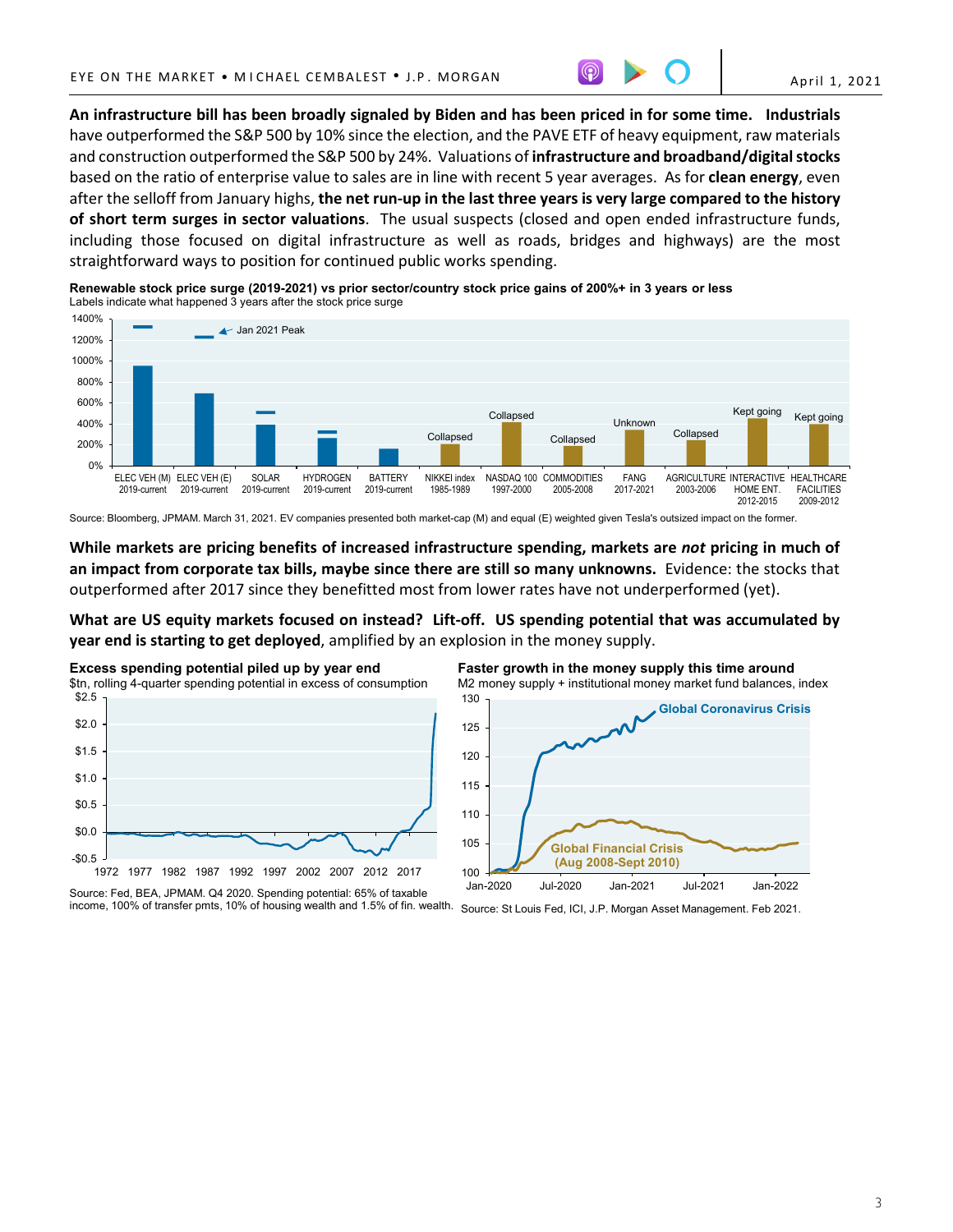

**An infrastructure bill has been broadly signaled by Biden and has been priced in for some time. Industrials** have outperformed the S&P 500 by 10% since the election, and the PAVE ETF of heavy equipment, raw materials and construction outperformed the S&P 500 by 24%. Valuations of **infrastructure and broadband/digital stocks** based on the ratio of enterprise value to sales are in line with recent 5 year averages. As for **clean energy**, even after the selloff from January highs, **the net run-up in the last three years is very large compared to the history of short term surges in sector valuations**. The usual suspects (closed and open ended infrastructure funds, including those focused on digital infrastructure as well as roads, bridges and highways) are the most straightforward ways to position for continued public works spending.



**Renewable stock price surge (2019-2021) vs prior sector/country stock price gains of 200%+ in 3 years or less** Labels indicate what happened 3 years after the stock price surge

Source: Bloomberg, JPMAM. March 31, 2021. EV companies presented both market-cap (M) and equal (E) weighted given Tesla's outsized impact on the former.

**While markets are pricing benefits of increased infrastructure spending, markets are** *not* **pricing in much of an impact from corporate tax bills, maybe since there are still so many unknowns.** Evidence: the stocks that outperformed after 2017 since they benefitted most from lower rates have not underperformed (yet).

**What are US equity markets focused on instead? Lift-off. US spending potential that was accumulated by year end is starting to get deployed**, amplified by an explosion in the money supply.



Source: Fed, BEA, JPMAM. Q4 2020. Spending potential: 65% of taxable



income, 100% of transfer pmts, 10% of housing wealth and 1.5% of fin. wealth. Source: St Louis Fed, ICI, J.P. Morgan Asset Management. Feb 2021.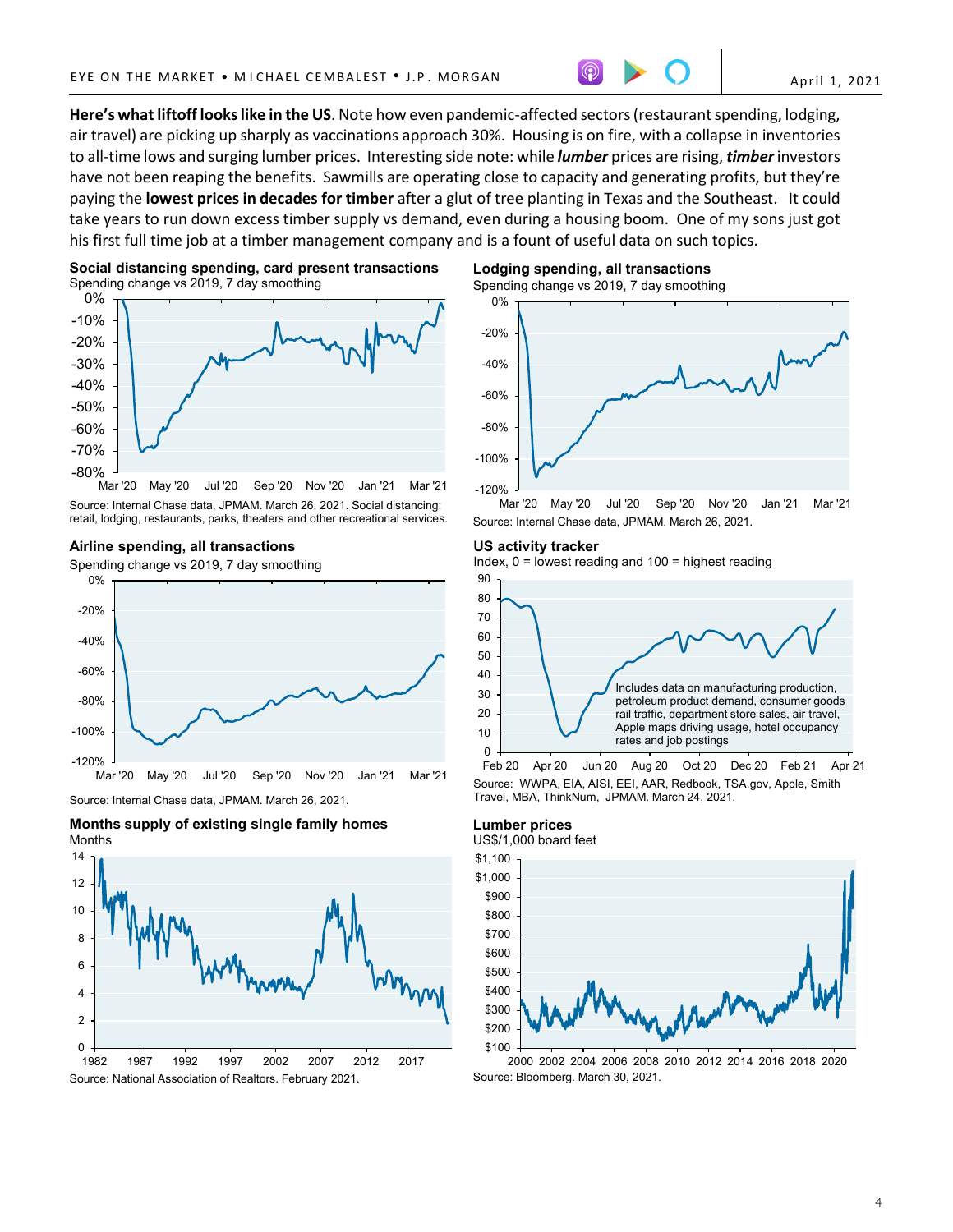**Here's what liftoff looks like in the US**. Note how even pandemic-affected sectors (restaurant spending, lodging, air travel) are picking up sharply as vaccinations approach 30%. Housing is on fire, with a collapse in inventories to all-time lows and surging lumber prices. Interesting side note: while *lumber* prices are rising, *timber* investors have not been reaping the benefits. Sawmills are operating close to capacity and generating profits, but they're paying the **lowest prices in decades for timber** after a glut of tree planting in Texas and the Southeast. It could take years to run down excess timber supply vs demand, even during a housing boom. One of my sons just got his first full time job at a timber management company and is a fount of useful data on such topics.





Mar '20 May '20 Jul '20 Sep '20 Nov '20 Jan '21 Mar '21 Source: Internal Chase data, JPMAM. March 26, 2021. Social distancing: retail, lodging, restaurants, parks, theaters and other recreational services.

## **Airline spending, all transactions**

Spending change vs 2019, 7 day smoothing



Source: Internal Chase data, JPMAM. March 26, 2021.





Spending change vs 2019, 7 day smoothing **Lodging spending, all transactions** 



Jul '20 Sep '20 Nov '20 Jan '21 Mar '21 Source: Internal Chase data, JPMAM. March 26, 2021.

## **US activity tracker**

Index, 0 = lowest reading and 100 = highest reading



Source: WWPA, EIA, AISI, EEI, AAR, Redbook, TSA.gov, Apple, Smith Travel, MBA, ThinkNum, JPMAM. March 24, 2021.

## **Lumber prices** US\$/1,000 board feet



2000 2002 2004 2006 2008 2010 2012 2014 2016 2018 2020 Source: Bloomberg. March 30, 2021.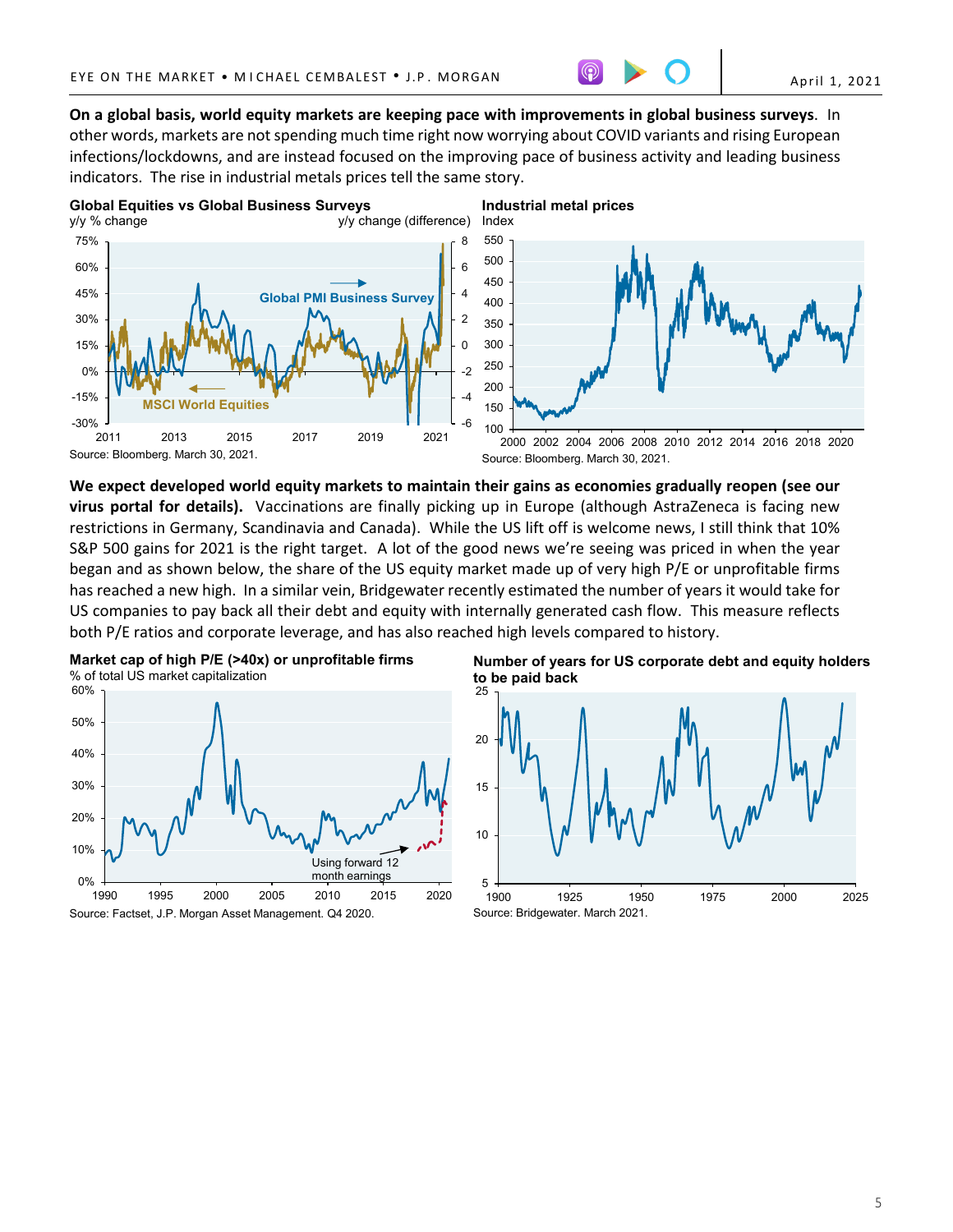April 1, 2021

**On a global basis, world equity markets are keeping pace with improvements in global business surveys**. In other words, markets are not spending much time right now worrying about COVID variants and rising European infections/lockdowns, and are instead focused on the improving pace of business activity and leading business indicators. The rise in industrial metals prices tell the same story.



**We expect developed world equity markets to maintain their gains as economies gradually reopen (see our virus portal for details).** Vaccinations are finally picking up in Europe (although AstraZeneca is facing new restrictions in Germany, Scandinavia and Canada). While the US lift off is welcome news, I still think that 10% S&P 500 gains for 2021 is the right target. A lot of the good news we're seeing was priced in when the year began and as shown below, the share of the US equity market made up of very high P/E or unprofitable firms has reached a new high. In a similar vein, Bridgewater recently estimated the number of years it would take for US companies to pay back all their debt and equity with internally generated cash flow. This measure reflects both P/E ratios and corporate leverage, and has also reached high levels compared to history.



25 **Number of years for US corporate debt and equity holders to be paid back**

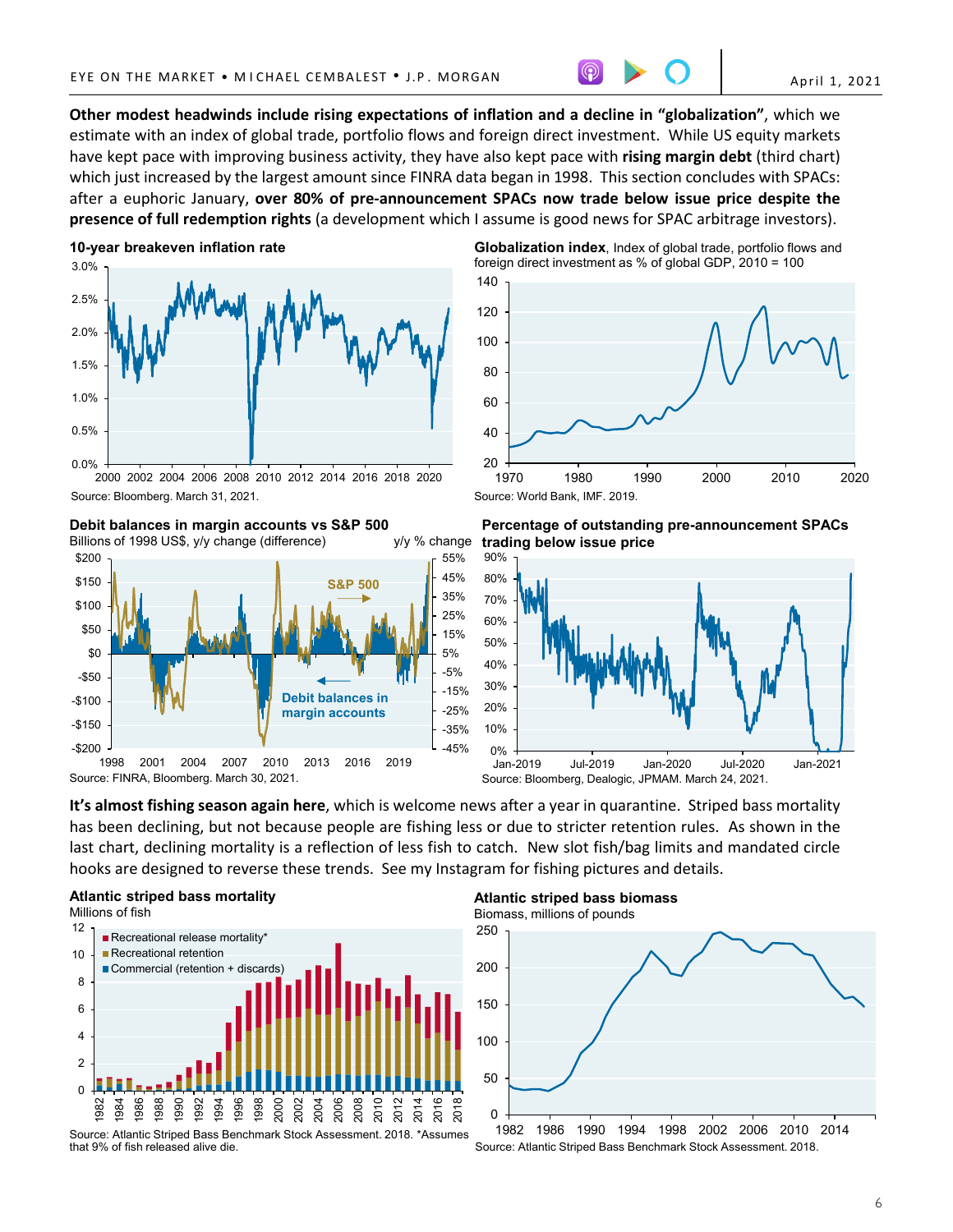**Other modest headwinds include rising expectations of inflation and a decline in "globalization"**, which we estimate with an index of global trade, portfolio flows and foreign direct investment. While US equity markets have kept pace with improving business activity, they have also kept pace with **rising margin debt** (third chart) which just increased by the largest amount since FINRA data began in 1998. This section concludes with SPACs: after a euphoric January, **over 80% of pre-announcement SPACs now trade below issue price despite the presence of full redemption rights** (a development which I assume is good news for SPAC arbitrage investors).

# **10-year breakeven inflation rate**



<sup>2000 2002 2004 2006 2008 2010 2012 2014 2016 2018 2020</sup> Source: Bloomberg. March 31, 2021.

# **Debit balances in margin accounts vs S&P 500**

Billions of 1998 US\$, y/y change (difference) y/y % change



— 20<br>1970 40 60 80 100 120 140 **Globalization index**, Index of global trade, portfolio flows and foreign direct investment as % of global GDP, 2010 = 100



1970 1980 1990 2000 2010 2020



Source: Bloomberg, Dealogic, JPMAM. March 24, 2021.

**It's almost fishing season again here**, which is welcome news after a year in quarantine. Striped bass mortality has been declining, but not because people are fishing less or due to stricter retention rules. As shown in the last chart, declining mortality is a reflection of less fish to catch. New slot fish/bag limits and mandated circle hooks are designed to reverse these trends. See my Instagram for fishing pictures and details.





that 9% of fish released alive die.

**Atlantic striped bass biomass**



Source: Atlantic Striped Bass Benchmark Stock Assessment. 2018.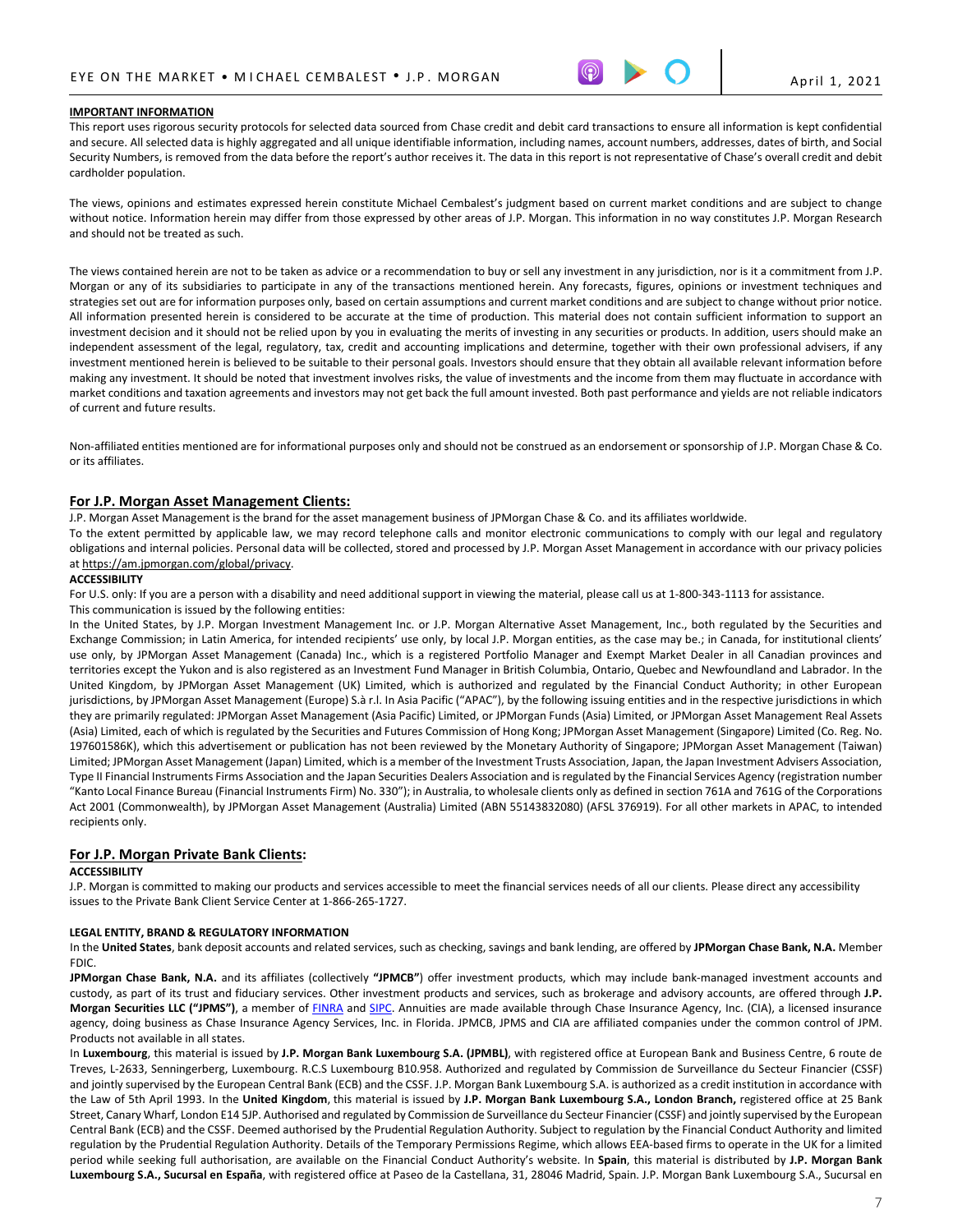

## **IMPORTANT INFORMATION**

This report uses rigorous security protocols for selected data sourced from Chase credit and debit card transactions to ensure all information is kept confidential and secure. All selected data is highly aggregated and all unique identifiable information, including names, account numbers, addresses, dates of birth, and Social Security Numbers, is removed from the data before the report's author receives it. The data in this report is not representative of Chase's overall credit and debit cardholder population.

The views, opinions and estimates expressed herein constitute Michael Cembalest's judgment based on current market conditions and are subject to change without notice. Information herein may differ from those expressed by other areas of J.P. Morgan. This information in no way constitutes J.P. Morgan Research and should not be treated as such.

The views contained herein are not to be taken as advice or a recommendation to buy or sell any investment in any jurisdiction, nor is it a commitment from J.P. Morgan or any of its subsidiaries to participate in any of the transactions mentioned herein. Any forecasts, figures, opinions or investment techniques and strategies set out are for information purposes only, based on certain assumptions and current market conditions and are subject to change without prior notice. All information presented herein is considered to be accurate at the time of production. This material does not contain sufficient information to support an investment decision and it should not be relied upon by you in evaluating the merits of investing in any securities or products. In addition, users should make an independent assessment of the legal, regulatory, tax, credit and accounting implications and determine, together with their own professional advisers, if any investment mentioned herein is believed to be suitable to their personal goals. Investors should ensure that they obtain all available relevant information before making any investment. It should be noted that investment involves risks, the value of investments and the income from them may fluctuate in accordance with market conditions and taxation agreements and investors may not get back the full amount invested. Both past performance and yields are not reliable indicators of current and future results.

Non-affiliated entities mentioned are for informational purposes only and should not be construed as an endorsement or sponsorship of J.P. Morgan Chase & Co. or its affiliates.

## **For J.P. Morgan Asset Management Clients:**

J.P. Morgan Asset Management is the brand for the asset management business of JPMorgan Chase & Co. and its affiliates worldwide.

To the extent permitted by applicable law, we may record telephone calls and monitor electronic communications to comply with our legal and regulatory obligations and internal policies. Personal data will be collected, stored and processed by J.P. Morgan Asset Management in accordance with our privacy policies a[t https://am.jpmorgan.com/global/privacy.](https://am.jpmorgan.com/global/privacy)

### **ACCESSIBILITY**

For U.S. only: If you are a person with a disability and need additional support in viewing the material, please call us at 1-800-343-1113 for assistance.

#### This communication is issued by the following entities:

In the United States, by J.P. Morgan Investment Management Inc. or J.P. Morgan Alternative Asset Management, Inc., both regulated by the Securities and Exchange Commission; in Latin America, for intended recipients' use only, by local J.P. Morgan entities, as the case may be.; in Canada, for institutional clients' use only, by JPMorgan Asset Management (Canada) Inc., which is a registered Portfolio Manager and Exempt Market Dealer in all Canadian provinces and territories except the Yukon and is also registered as an Investment Fund Manager in British Columbia, Ontario, Quebec and Newfoundland and Labrador. In the United Kingdom, by JPMorgan Asset Management (UK) Limited, which is authorized and regulated by the Financial Conduct Authority; in other European jurisdictions, by JPMorgan Asset Management (Europe) S.à r.l. In Asia Pacific ("APAC"), by the following issuing entities and in the respective jurisdictions in which they are primarily regulated: JPMorgan Asset Management (Asia Pacific) Limited, or JPMorgan Funds (Asia) Limited, or JPMorgan Asset Management Real Assets (Asia) Limited, each of which is regulated by the Securities and Futures Commission of Hong Kong; JPMorgan Asset Management (Singapore) Limited (Co. Reg. No. 197601586K), which this advertisement or publication has not been reviewed by the Monetary Authority of Singapore; JPMorgan Asset Management (Taiwan) Limited; JPMorgan Asset Management (Japan) Limited, which is a member of the Investment Trusts Association, Japan, the Japan Investment Advisers Association, Type II Financial Instruments Firms Association and the Japan Securities Dealers Association and is regulated by the Financial Services Agency (registration number "Kanto Local Finance Bureau (Financial Instruments Firm) No. 330"); in Australia, to wholesale clients only as defined in section 761A and 761G of the Corporations Act 2001 (Commonwealth), by JPMorgan Asset Management (Australia) Limited (ABN 55143832080) (AFSL 376919). For all other markets in APAC, to intended recipients only.

## **For J.P. Morgan Private Bank Clients:**

#### **ACCESSIBILITY**

J.P. Morgan is committed to making our products and services accessible to meet the financial services needs of all our clients. Please direct any accessibility issues to the Private Bank Client Service Center at 1-866-265-1727.

### **LEGAL ENTITY, BRAND & REGULATORY INFORMATION**

In the **United States**, bank deposit accounts and related services, such as checking, savings and bank lending, are offered by **JPMorgan Chase Bank, N.A.** Member FDIC.

**JPMorgan Chase Bank, N.A.** and its affiliates (collectively **"JPMCB"**) offer investment products, which may include bank-managed investment accounts and custody, as part of its trust and fiduciary services. Other investment products and services, such as brokerage and advisory accounts, are offered through **J.P. Morgan Securities LLC ("JPMS")**, a member of [FINRA](http://www.finra.org/) an[d SIPC.](http://www.sipc.org/) Annuities are made available through Chase Insurance Agency, Inc. (CIA), a licensed insurance agency, doing business as Chase Insurance Agency Services, Inc. in Florida. JPMCB, JPMS and CIA are affiliated companies under the common control of JPM. Products not available in all states.

In **Luxembourg**, this material is issued by **J.P. Morgan Bank Luxembourg S.A. (JPMBL)**, with registered office at European Bank and Business Centre, 6 route de Treves, L-2633, Senningerberg, Luxembourg. R.C.S Luxembourg B10.958. Authorized and regulated by Commission de Surveillance du Secteur Financier (CSSF) and jointly supervised by the European Central Bank (ECB) and the CSSF. J.P. Morgan Bank Luxembourg S.A. is authorized as a credit institution in accordance with the Law of 5th April 1993. In the **United Kingdom**, this material is issued by **J.P. Morgan Bank Luxembourg S.A., London Branch,** registered office at 25 Bank Street, Canary Wharf, London E14 5JP. Authorised and regulated by Commission de Surveillance du Secteur Financier (CSSF) and jointly supervised by the European Central Bank (ECB) and the CSSF. Deemed authorised by the Prudential Regulation Authority. Subject to regulation by the Financial Conduct Authority and limited regulation by the Prudential Regulation Authority. Details of the Temporary Permissions Regime, which allows EEA-based firms to operate in the UK for a limited period while seeking full authorisation, are available on the Financial Conduct Authority's website. In **Spain**, this material is distributed by **J.P. Morgan Bank Luxembourg S.A., Sucursal en España**, with registered office at Paseo de la Castellana, 31, 28046 Madrid, Spain. J.P. Morgan Bank Luxembourg S.A., Sucursal en